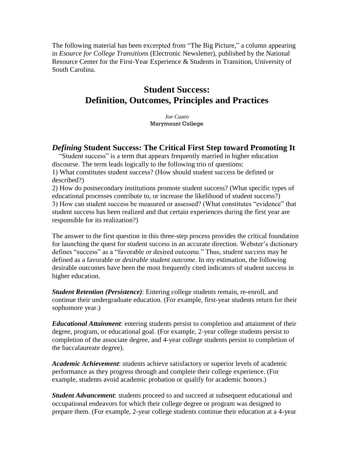The following material has been excerpted from "The Big Picture," a column appearing in *Esource for College Transitions* (Electronic Newsletter), published by the National Resource Center for the First-Year Experience & Students in Transition, University of South Carolina.

# **Student Success: Definition, Outcomes, Principles and Practices**

*Joe Cuseo* Marymount College

# *Defining* **Student Success: The Critical First Step toward Promoting It**

 "Student success" is a term that appears frequently married in higher education discourse. The term leads logically to the following trio of questions: 1) What constitutes student success? (How should student success be defined or described?)

2) How do postsecondary institutions promote student success? (What specific types of educational processes contribute to, or increase the likelihood of student success?) 3) How can student success be measured or assessed? (What constitutes "evidence" that student success has been realized and that certain experiences during the first year are responsible for its realization?)

The answer to the first question in this three-step process provides the critical foundation for launching the quest for student success in an accurate direction. Webster's dictionary defines "success" as a "favorable or desired outcome." Thus, *student success* may be defined as a favorable or *desirable student outcome*. In my estimation, the following desirable outcomes have been the most frequently cited indicators of student success in higher education.

*Student Retention (Persistence)*: Entering college students remain, re-enroll, and continue their undergraduate education. (For example, first-year students return for their sophomore year.)

*Educational Attainment*: entering students persist to completion and attainment of their degree, program, or educational goal. (For example, 2-year college students persist to completion of the associate degree, and 4-year college students persist to completion of the baccalaureate degree).

*Academic Achievement*: students achieve satisfactory or superior levels of academic performance as they progress through and complete their college experience. (For example, students avoid academic probation or qualify for academic honors.)

*Student Advancement*: students proceed to and succeed at subsequent educational and occupational endeavors for which their college degree or program was designed to prepare them. (For example, 2-year college students continue their education at a 4-year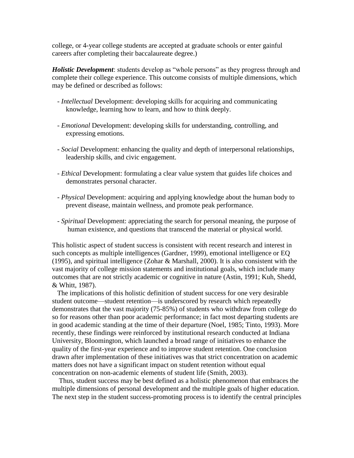college, or 4-year college students are accepted at graduate schools or enter gainful careers after completing their baccalaureate degree.)

*Holistic Development*: students develop as "whole persons" as they progress through and complete their college experience. This outcome consists of multiple dimensions, which may be defined or described as follows:

- *- Intellectual* Development: developing skills for acquiring and communicating knowledge, learning how to learn, and how to think deeply.
- *- Emotional* Development: developing skills for understanding, controlling, and expressing emotions.
- *- Social* Development: enhancing the quality and depth of interpersonal relationships, leadership skills, and civic engagement.
- *- Ethical* Development: formulating a clear value system that guides life choices and demonstrates personal character.
- *- Physical* Development: acquiring and applying knowledge about the human body to prevent disease, maintain wellness, and promote peak performance.
- *- Spiritual* Development: appreciating the search for personal meaning, the purpose of human existence, and questions that transcend the material or physical world.

This holistic aspect of student success is consistent with recent research and interest in such concepts as multiple intelligences (Gardner, 1999), emotional intelligence or EQ (1995), and spiritual intelligence (Zohar & Marshall, 2000). It is also consistent with the vast majority of college mission statements and institutional goals, which include many outcomes that are not strictly academic or cognitive in nature (Astin, 1991; Kuh, Shedd, & Whitt, 1987).

 The implications of this holistic definition of student success for one very desirable student outcome—student retention—is underscored by research which repeatedly demonstrates that the vast majority (75-85%) of students who withdraw from college do so for reasons other than poor academic performance; in fact most departing students are in good academic standing at the time of their departure (Noel, 1985; Tinto, 1993). More recently, these findings were reinforced by institutional research conducted at Indiana University, Bloomington, which launched a broad range of initiatives to enhance the quality of the first-year experience and to improve student retention. One conclusion drawn after implementation of these initiatives was that strict concentration on academic matters does not have a significant impact on student retention without equal concentration on non-academic elements of student life (Smith, 2003).

 Thus, student success may be best defined as a holistic phenomenon that embraces the multiple dimensions of personal development and the multiple goals of higher education. The next step in the student success-promoting process is to identify the central principles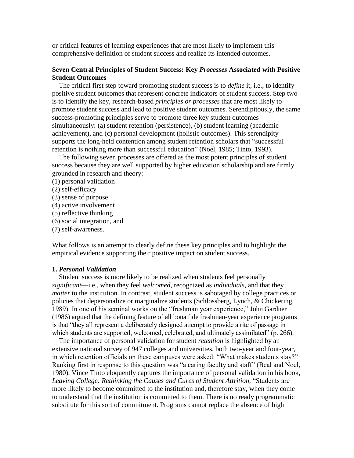or critical features of learning experiences that are most likely to implement this comprehensive definition of student success and realize its intended outcomes.

# **Seven Central Principles of Student Success: Key** *Processes* **Associated with Positive Student Outcomes**

 The critical first step toward promoting student success is to *define* it, i.e., to identify positive student outcomes that represent concrete indicators of student success. Step two is to identify the key, research-based *principles or processes* that are most likely to promote student success and lead to positive student outcomes. Serendipitously, the same success-promoting principles serve to promote three key student outcomes simultaneously: (a) student retention (persistence), (b) student learning (academic achievement), and (c) personal development (holistic outcomes). This serendipity supports the long-held contention among student retention scholars that "successful retention is nothing more than successful education" (Noel, 1985; Tinto, 1993).

 The following seven processes are offered as the most potent principles of student success because they are well supported by higher education scholarship and are firmly grounded in research and theory:

- (1) personal validation
- (2) self-efficacy
- (3) sense of purpose
- (4) active involvement
- (5) reflective thinking
- (6) social integration, and
- (7) self-awareness.

What follows is an attempt to clearly define these key principles and to highlight the empirical evidence supporting their positive impact on student success.

#### **1.** *Personal Validation*

 Student success is more likely to be realized when students feel personally *significant*—i.e., when they feel *welcomed*, recognized as *individuals*, and that they *matter* to the institution. In contrast, student success is sabotaged by college practices or policies that depersonalize or marginalize students (Schlossberg, Lynch, & Chickering, 1989). In one of his seminal works on the "freshman year experience," John Gardner (1986) argued that the defining feature of all bona fide freshman-year experience programs is that "they all represent a deliberately designed attempt to provide a rite of passage in which students are supported, welcomed, celebrated, and ultimately assimilated" (p. 266).

 The importance of personal validation for student *retention* is highlighted by an extensive national survey of 947 colleges and universities, both two-year and four-year, in which retention officials on these campuses were asked: "What makes students stay?" Ranking first in response to this question was "a caring faculty and staff" (Beal and Noel, 1980). Vince Tinto eloquently captures the importance of personal validation in his book, *Leaving College: Rethinking the Causes and Cures of Student Attrition*, "Students are more likely to become committed to the institution and, therefore stay, when they come to understand that the institution is committed to them. There is no ready programmatic substitute for this sort of commitment. Programs cannot replace the absence of high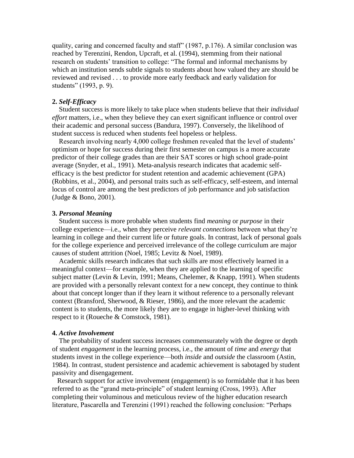quality, caring and concerned faculty and staff" (1987, p.176). A similar conclusion was reached by Terenzini, Rendon, Upcraft, et al. (1994), stemming from their national research on students' transition to college: "The formal and informal mechanisms by which an institution sends subtle signals to students about how valued they are should be reviewed and revised . . . to provide more early feedback and early validation for students" (1993, p. 9).

### **2.** *Self-Efficacy*

 Student success is more likely to take place when students believe that their *individual effort* matters, i.e., when they believe they can exert significant influence or control over their academic and personal success (Bandura, 1997). Conversely, the likelihood of student success is reduced when students feel hopeless or helpless.

 Research involving nearly 4,000 college freshmen revealed that the level of students' optimism or hope for success during their first semester on campus is a more accurate predictor of their college grades than are their SAT scores or high school grade-point average (Snyder, et al., 1991). Meta-analysis research indicates that academic selfefficacy is the best predictor for student retention and academic achievement (GPA) (Robbins, et al., 2004), and personal traits such as self-efficacy, self-esteem, and internal locus of control are among the best predictors of job performance and job satisfaction (Judge & Bono, 2001).

#### **3.** *Personal Meaning*

 Student success is more probable when students find *meaning* or *purpose* in their college experience—i.e., when they perceive *relevant connections* between what they're learning in college and their current life or future goals. In contrast, lack of personal goals for the college experience and perceived irrelevance of the college curriculum are major causes of student attrition (Noel, 1985; Levitz & Noel, 1989).

 Academic skills research indicates that such skills are most effectively learned in a meaningful context—for example, when they are applied to the learning of specific subject matter (Levin & Levin, 1991; Means, Chelemer, & Knapp, 1991). When students are provided with a personally relevant context for a new concept, they continue to think about that concept longer than if they learn it without reference to a personally relevant context (Bransford, Sherwood, & Rieser, 1986), and the more relevant the academic content is to students, the more likely they are to engage in higher-level thinking with respect to it (Roueche & Comstock, 1981).

#### **4.** *Active Involvement*

 The probability of student success increases commensurately with the degree or depth of student *engagement* in the learning process, i.e., the amount of *time* and *energy* that students invest in the college experience—both *inside* and *outside* the classroom (Astin, 1984). In contrast, student persistence and academic achievement is sabotaged by student passivity and disengagement.

 Research support for active involvement (engagement) is so formidable that it has been referred to as the "grand meta-principle" of student learning (Cross, 1993). After completing their voluminous and meticulous review of the higher education research literature, Pascarella and Terenzini (1991) reached the following conclusion: "Perhaps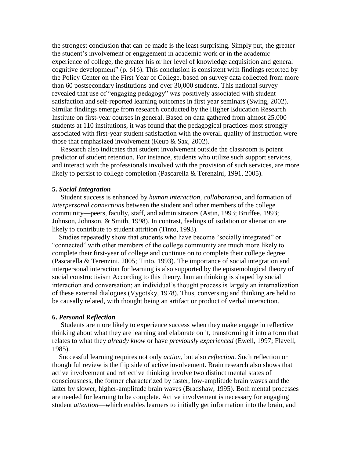the strongest conclusion that can be made is the least surprising. Simply put, the greater the student's involvement or engagement in academic work or in the academic experience of college, the greater his or her level of knowledge acquisition and general cognitive development" (p. 616). This conclusion is consistent with findings reported by the Policy Center on the First Year of College, based on survey data collected from more than 60 postsecondary institutions and over 30,000 students. This national survey revealed that use of "engaging pedagogy" was positively associated with student satisfaction and self-reported learning outcomes in first year seminars (Swing, 2002). Similar findings emerge from research conducted by the Higher Education Research Institute on first-year courses in general. Based on data gathered from almost 25,000 students at 110 institutions, it was found that the pedagogical practices most strongly associated with first-year student satisfaction with the overall quality of instruction were those that emphasized involvement (Keup & Sax, 2002).

 Research also indicates that student involvement outside the classroom is potent predictor of student retention. For instance, students who utilize such support services, and interact with the professionals involved with the provision of such services, are more likely to persist to college completion (Pascarella & Terenzini, 1991, 2005).

#### **5.** *Social Integration*

 Student success is enhanced by *human interaction, collaboration,* and formation of *interpersonal connections* between the student and other members of the college community—peers, faculty, staff, and administrators (Astin, 1993; Bruffee, 1993; Johnson, Johnson, & Smith, 1998). In contrast, feelings of isolation or alienation are likely to contribute to student attrition (Tinto, 1993).

 Studies repeatedly show that students who have become "socially integrated" or "connected" with other members of the college community are much more likely to complete their first-year of college and continue on to complete their college degree (Pascarella & Terenzini, 2005; Tinto, 1993). The importance of social integration and interpersonal interaction for learning is also supported by the epistemological theory of social constructivism According to this theory, human thinking is shaped by social interaction and conversation; an individual's thought process is largely an internalization of these external dialogues (Vygotsky, 1978). Thus, conversing and thinking are held to be causally related, with thought being an artifact or product of verbal interaction.

#### **6.** *Personal Reflection*

 Students are more likely to experience success when they make engage in reflective thinking about what they are learning and elaborate on it, transforming it into a form that relates to what they *already know* or have *previously experienced* (Ewell, 1997; Flavell, 1985).

 Successful learning requires not only *action*, but also *reflection*. Such reflection or thoughtful review is the flip side of active involvement. Brain research also shows that active involvement and reflective thinking involve two distinct mental states of consciousness, the former characterized by faster, low-amplitude brain waves and the latter by slower, higher-amplitude brain waves (Bradshaw, 1995). Both mental processes are needed for learning to be complete. Active involvement is necessary for engaging student *attention*—which enables learners to initially get information into the brain, and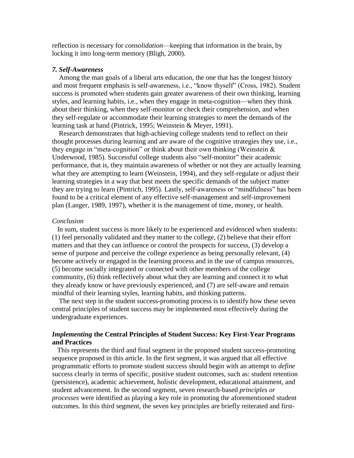reflection is necessary for *consolidation*—keeping that information in the brain, by locking it into long-term memory (Bligh, 2000).

#### *7. Self-Awareness*

 Among the man goals of a liberal arts education, the one that has the longest history and most frequent emphasis is self-awareness, i.e., "know thyself" (Cross, 1982). Student success is promoted when students gain greater awareness of their own thinking, learning styles, and learning habits, i.e., when they engage in meta-cognition—when they think about their thinking, when they self-monitor or check their comprehension, and when they self-regulate or accommodate their learning strategies to meet the demands of the learning task at hand (Pintrick, 1995; Weinstein & Meyer, 1991).

 Research demonstrates that high-achieving college students tend to reflect on their thought processes during learning and are aware of the cognitive strategies they use, i.e., they engage in "meta-cognition" or think about their own thinking (Weinstein  $\&$ Underwood, 1985). Successful college students also "self-monitor" their academic performance, that is, they maintain awareness of whether or not they are actually learning what they are attempting to learn (Weinstein, 1994), and they self-regulate or adjust their learning strategies in a way that best meets the specific demands of the subject matter they are trying to learn (Pintrich, 1995). Lastly, self-awareness or "mindfulness" has been found to be a critical element of any effective self-management and self-improvement plan (Langer, 1989, 1997), whether it is the management of time, money, or health.

#### *Conclusion*

 In sum, student success is more likely to be experienced and evidenced when students: (1) feel personally validated and they matter to the college, (2) believe that their effort matters and that they can influence or control the prospects for success, (3) develop a sense of purpose and perceive the college experience as being personally relevant, (4) become actively or engaged in the learning process and in the use of campus resources, (5) become socially integrated or connected with other members of the college community, (6) think reflectively about what they are learning and connect it to what they already know or have previously experienced, and (7) are self-aware and remain mindful of their learning styles, learning habits, and thinking patterns.

 The next step in the student success-promoting process is to identify how these seven central principles of student success may be implemented most effectively during the undergraduate experiences.

### *Implementing* **the Central Principles of Student Success: Key First-Year Programs and Practices**

 This represents the third and final segment in the proposed student success-promoting sequence proposed in this article. In the first segment, it was argued that all effective programmatic efforts to promote student success should begin with an attempt to *define* success clearly in terms of specific, positive student outcomes, such as: student retention (persistence), academic achievement, holistic development, educational attainment, and student advancement. In the second segment, seven research-based *principles or processes* were identified as playing a key role in promoting the aforementioned student outcomes. In this third segment, the seven key principles are briefly reiterated and first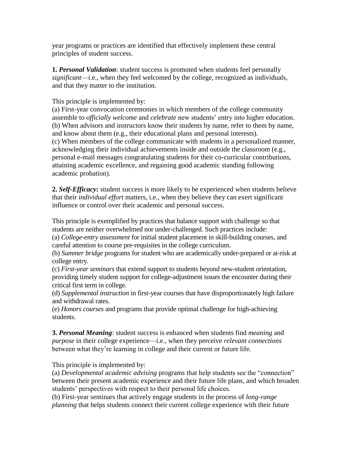year programs or practices are identified that effectively implement these central principles of student success.

**1.** *Personal Validation*: student success is promoted when students feel personally *significant*—i.e., when they feel welcomed by the college, recognized as individuals, and that they matter to the institution.

# This principle is implemented by:

(a) First-year convocation ceremonies in which members of the college community assemble to *officially welcome* and *celebrate* new students' entry into higher education. (b) When advisors and instructors know their students by name, refer to them by name, and know about them (e.g., their educational plans and personal interests). (c) When members of the college communicate with students in a personalized manner, acknowledging their individual achievements inside and outside the classroom (e.g., personal e-mail messages congratulating students for their co-curricular contributions, attaining academic excellence, and regaining good academic standing following academic probation).

**2.** *Self-Efficacy***:** student success is more likely to be experienced when students believe that their *individual effort* matters, i.e., when they believe they can exert significant influence or control over their academic and personal success.

This principle is exemplified by practices that balance support with challenge so that students are neither overwhelmed nor under-challenged. Such practices include: (a) *College-entry assessment* for initial student placement in skill-building courses, and careful attention to course pre-requisites in the college curriculum.

(b) *Summer bridge* programs for student who are academically under-prepared or at-risk at college entry.

(c) *First-year seminars* that extend support to students beyond new-student orientation, providing timely student support for college-adjustment issues the encounter during their critical first term in college.

(d) *Supplemental instruction* in first-year courses that have disproportionately high failure and withdrawal rates.

(e) *Honors courses* and programs that provide optimal challenge for high-achieving students.

**3.** *Personal Meaning*: student success is enhanced when students find *meaning* and *purpose* in their college experience—i.e., when they perceive *relevant connections* between what they're learning in college and their current or future life.

This principle is implemented by:

(a) *Developmental academic advising* programs that help students see the "connection" between their present academic experience and their future life plans, and which broaden students' perspectives with respect to their personal life choices.

(b) First-year seminars that actively engage students in the process of *long-range planning* that helps students connect their current college experience with their future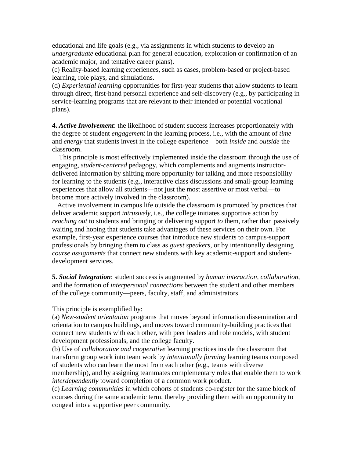educational and life goals (e.g., via assignments in which students to develop an *undergraduate* educational plan for general education, exploration or confirmation of an academic major, and tentative career plans).

(c) Reality-based learning experiences, such as cases, problem-based or project-based learning, role plays, and simulations.

(d) *Experiential learning* opportunities for first-year students that allow students to learn through direct, first-hand personal experience and self-discovery (e.g., by participating in service-learning programs that are relevant to their intended or potential vocational plans).

**4.** *Active Involvement*: the likelihood of student success increases proportionately with the degree of student *engagement* in the learning process, i.e., with the amount of *time* and *energy* that students invest in the college experience—both *inside* and *outside* the classroom.

 This principle is most effectively implemented inside the classroom through the use of engaging, *student-centered* pedagogy, which complements and augments instructordelivered information by shifting more opportunity for talking and more responsibility for learning to the students (e.g., interactive class discussions and small-group learning experiences that allow all students—not just the most assertive or most verbal—to become more actively involved in the classroom).

 Active involvement in campus life outside the classroom is promoted by practices that deliver academic support *intrusively*, i.e., the college initiates supportive action by *reaching out* to students and bringing or delivering support *to* them, rather than passively waiting and hoping that students take advantages of these services on their own. For example, first-year experience courses that introduce new students to campus-support professionals by bringing them to class as *guest speakers*, or by intentionally designing *course assignments* that connect new students with key academic-support and studentdevelopment services.

**5.** *Social Integration*: student success is augmented by *human interaction, collaboration,* and the formation of *interpersonal connections* between the student and other members of the college community—peers, faculty, staff, and administrators.

# This principle is exemplified by:

(a) *New-student orientation* programs that moves beyond information dissemination and orientation to campus buildings, and moves toward community-building practices that connect new students with each other, with peer leaders and role models, with student development professionals, and the college faculty.

(b) Use of *collaborative and cooperative* learning practices inside the classroom that transform group work into team work by *intentionally forming* learning teams composed of students who can learn the most from each other (e.g., teams with diverse membership), and by assigning teammates complementary roles that enable them to work *interdependently* toward completion of a common work product.

(c) *Learning communities* in which cohorts of students co-register for the same block of courses during the same academic term, thereby providing them with an opportunity to congeal into a supportive peer community.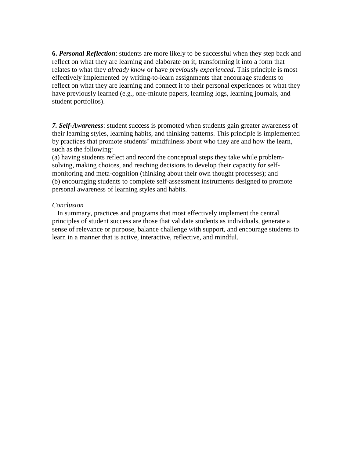**6.** *Personal Reflection*: students are more likely to be successful when they step back and reflect on what they are learning and elaborate on it, transforming it into a form that relates to what they *already know* or have *previously experienced*. This principle is most effectively implemented by writing-to-learn assignments that encourage students to reflect on what they are learning and connect it to their personal experiences or what they have previously learned (e.g., one-minute papers, learning logs, learning journals, and student portfolios).

*7. Self-Awareness*: student success is promoted when students gain greater awareness of their learning styles, learning habits, and thinking patterns. This principle is implemented by practices that promote students' mindfulness about who they are and how the learn, such as the following:

(a) having students reflect and record the conceptual steps they take while problemsolving, making choices, and reaching decisions to develop their capacity for selfmonitoring and meta-cognition (thinking about their own thought processes); and (b) encouraging students to complete self-assessment instruments designed to promote personal awareness of learning styles and habits.

### *Conclusion*

 In summary, practices and programs that most effectively implement the central principles of student success are those that validate students as individuals, generate a sense of relevance or purpose, balance challenge with support, and encourage students to learn in a manner that is active, interactive, reflective, and mindful.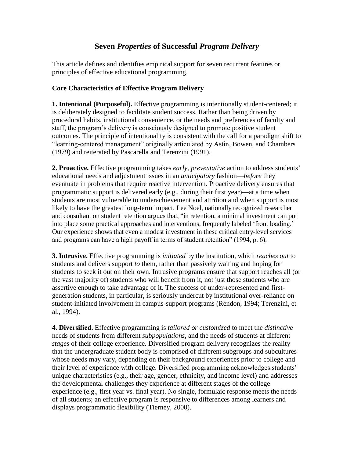# **Seven** *Properties* **of Successful** *Program Delivery*

This article defines and identifies empirical support for seven recurrent features or principles of effective educational programming.

# **Core Characteristics of Effective Program Delivery**

**1. Intentional (Purposeful).** Effective programming is intentionally student-centered; it is deliberately designed to facilitate student success. Rather than being driven by procedural habits, institutional convenience, or the needs and preferences of faculty and staff, the program's delivery is consciously designed to promote positive student outcomes. The principle of intentionality is consistent with the call for a paradigm shift to "learning-centered management" originally articulated by Astin, Bowen, and Chambers (1979) and reiterated by Pascarella and Terenzini (1991).

**2. Proactive.** Effective programming takes *early, preventative* action to address students' educational needs and adjustment issues in an *anticipatory* fashion—*before* they eventuate in problems that require reactive intervention. Proactive delivery ensures that programmatic support is delivered early (e.g., during their first year)—at a time when students are most vulnerable to underachievement and attrition and when support is most likely to have the greatest long-term impact. Lee Noel, nationally recognized researcher and consultant on student retention argues that, "in retention, a minimal investment can put into place some practical approaches and interventions, frequently labeled 'front loading.' Our experience shows that even a modest investment in these critical entry-level services and programs can have a high payoff in terms of student retention" (1994, p. 6).

**3. Intrusive.** Effective programming is *initiated* by the institution, which *reaches out* to students and delivers support *to* them, rather than passively waiting and hoping for students to seek it out on their own. Intrusive programs ensure that support reaches all (or the vast majority of) students who will benefit from it, not just those students who are assertive enough to take advantage of it. The success of under-represented and firstgeneration students, in particular, is seriously undercut by institutional over-reliance on student-initiated involvement in campus-support programs (Rendon, 1994; Terenzini, et al., 1994).

**4. Diversified.** Effective programming is *tailored or customized* to meet the *distinctive* needs of students from different *subpopulations*, and the needs of students at different *stages* of their college experience. Diversified program delivery recognizes the reality that the undergraduate student body is comprised of different subgroups and subcultures whose needs may vary, depending on their background experiences prior to college and their level of experience with college. Diversified programming acknowledges students' unique characteristics (e.g., their age, gender, ethnicity, and income level) and addresses the developmental challenges they experience at different stages of the college experience (e.g., first year vs. final year). No single, formulaic response meets the needs of all students; an effective program is responsive to differences among learners and displays programmatic flexibility (Tierney, 2000).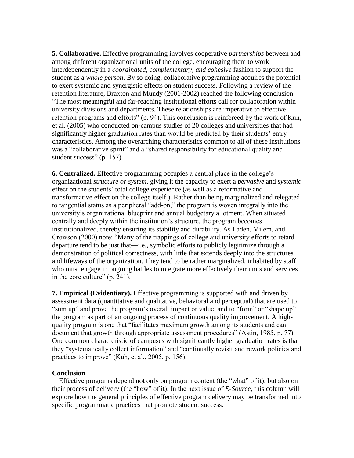**5. Collaborative.** Effective programming involves cooperative *partnerships* between and among different organizational units of the college, encouraging them to work interdependently in a *coordinated*, *complementary, and cohesive* fashion to support the student as a *whole person*. By so doing, collaborative programming acquires the potential to exert systemic and synergistic effects on student success. Following a review of the retention literature, Braxton and Mundy (2001-2002) reached the following conclusion: "The most meaningful and far-reaching institutional efforts call for collaboration within university divisions and departments. These relationships are imperative to effective retention programs and efforts" (p. 94). This conclusion is reinforced by the work of Kuh, et al. (2005) who conducted on-campus studies of 20 colleges and universities that had significantly higher graduation rates than would be predicted by their students' entry characteristics. Among the overarching characteristics common to all of these institutions was a "collaborative spirit" and a "shared responsibility for educational quality and student success" (p. 157).

**6. Centralized.** Effective programming occupies a central place in the college's organizational *structure or system*, giving it the capacity to exert a *pervasive* and *systemic* effect on the students' total college experience (as well as a reformative and transformative effect on the college itself.). Rather than being marginalized and relegated to tangential status as a peripheral "add-on," the program is woven integrally into the university's organizational blueprint and annual budgetary allotment. When situated centrally and deeply within the institution's structure, the program becomes institutionalized, thereby ensuring its stability and durability. As Laden, Milem, and Crowson (2000) note: "Many of the trappings of college and university efforts to retard departure tend to be just that—i.e., symbolic efforts to publicly legitimize through a demonstration of political correctness, with little that extends deeply into the structures and lifeways of the organization. They tend to be rather marginalized, inhabited by staff who must engage in ongoing battles to integrate more effectively their units and services in the core culture" (p. 241).

**7. Empirical (Evidentiary).** Effective programming is supported with and driven by assessment data (quantitative and qualitative, behavioral and perceptual) that are used to "sum up" and prove the program's overall impact or value, and to "form" or "shape up" the program as part of an ongoing process of continuous quality improvement. A highquality program is one that "facilitates maximum growth among its students and can document that growth through appropriate assessment procedures" (Astin, 1985, p. 77). One common characteristic of campuses with significantly higher graduation rates is that they "systematically collect information" and "continually revisit and rework policies and practices to improve" (Kuh, et al., 2005, p. 156).

# **Conclusion**

 Effective programs depend not only on program content (the "what" of it), but also on their process of delivery (the "how" of it). In the next issue of *E-Source*, this column will explore how the general principles of effective program delivery may be transformed into specific programmatic practices that promote student success.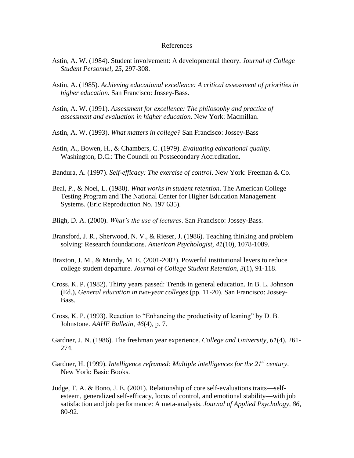#### References

- Astin, A. W. (1984). Student involvement: A developmental theory. *Journal of College Student Personnel, 25*, 297-308.
- Astin, A. (1985). *Achieving educational excellence: A critical assessment of priorities in higher education*. San Francisco: Jossey-Bass.
- Astin, A. W. (1991). *Assessment for excellence: The philosophy and practice of assessment and evaluation in higher education*. New York: Macmillan.
- Astin, A. W. (1993). *What matters in college?* San Francisco: Jossey-Bass
- Astin, A., Bowen, H., & Chambers, C. (1979). *Evaluating educational quality*. Washington, D.C.: The Council on Postsecondary Accreditation.
- Bandura, A. (1997). *Self-efficacy: The exercise of control*. New York: Freeman & Co.
- Beal, P., & Noel, L. (1980). *What works in student retention*. The American College Testing Program and The National Center for Higher Education Management Systems. (Eric Reproduction No. 197 635).
- Bligh, D. A. (2000). *What's the use of lectures*. San Francisco: Jossey-Bass.
- Bransford, J. R., Sherwood, N. V., & Rieser, J. (1986). Teaching thinking and problem solving: Research foundations. *American Psychologist, 41*(10), 1078-1089.
- Braxton, J. M., & Mundy, M. E. (2001-2002). Powerful institutional levers to reduce college student departure. *Journal of College Student Retention, 3*(1), 91-118.
- Cross, K. P. (1982). Thirty years passed: Trends in general education. In B. L. Johnson (Ed.), *General education in two-year colleges* (pp. 11-20). San Francisco: Jossey- Bass.
- Cross, K. P. (1993). Reaction to "Enhancing the productivity of leaning" by D. B. Johnstone. *AAHE Bulletin, 46*(4), p. 7.
- Gardner, J. N. (1986). The freshman year experience. *College and University, 61*(4), 261- 274.
- Gardner, H. (1999). *Intelligence reframed: Multiple intelligences for the 21st century*. New York: Basic Books.
- Judge, T. A. & Bono, J. E. (2001). Relationship of core self-evaluations traits—self esteem, generalized self-efficacy, locus of control, and emotional stability—with job satisfaction and job performance: A meta-analysis. *Journal of Applied Psychology, 86*, 80-92.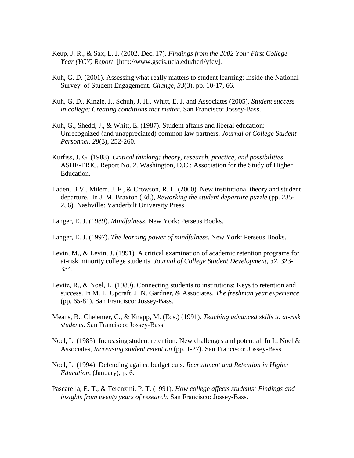- Keup, J. R., & Sax, L. J. (2002, Dec. 17). *Findings from the 2002 Your First College Year (YCY) Report*. [http://www.gseis.ucla.edu/heri/yfcy].
- Kuh, G. D. (2001). Assessing what really matters to student learning: Inside the National Survey of Student Engagement. *Change, 33*(3), pp. 10-17, 66.
- Kuh, G. D., Kinzie, J., Schuh, J. H., Whitt, E. J, and Associates (2005). *Student success in college: Creating conditions that matter*. San Francisco: Jossey-Bass.
- Kuh, G., Shedd, J., & Whitt, E. (1987). Student affairs and liberal education: Unrecognized (and unappreciated) common law partners. *Journal of College Student Personnel, 28*(3), 252-260.
- Kurfiss, J. G. (1988). *Critical thinking: theory, research, practice, and possibilities*. ASHE-ERIC, Report No. 2. Washington, D.C.: Association for the Study of Higher Education.
- Laden, B.V., Milem, J. F., & Crowson, R. L. (2000). New institutional theory and student departure. In J. M. Braxton (Ed.), *Reworking the student departure puzzle* (pp. 235- 256). Nashville: Vanderbilt University Press.
- Langer, E. J. (1989). *Mindfulness*. New York: Perseus Books.
- Langer, E. J. (1997). *The learning power of mindfulness*. New York: Perseus Books.
- Levin, M., & Levin, J. (1991). A critical examination of academic retention programs for at-risk minority college students. *Journal of College Student Development, 32*, 323- 334.
- Levitz, R., & Noel, L. (1989). Connecting students to institutions: Keys to retention and success. In M. L. Upcraft, J. N. Gardner, & Associates, *The freshman year experience* (pp. 65-81). San Francisco: Jossey-Bass.
- Means, B., Chelemer, C., & Knapp, M. (Eds.) (1991). *Teaching advanced skills to at-risk students*. San Francisco: Jossey-Bass.
- Noel, L. (1985). Increasing student retention: New challenges and potential. In L. Noel & Associates, *Increasing student retention* (pp. 1-27). San Francisco: Jossey-Bass.
- Noel, L. (1994). Defending against budget cuts. *Recruitment and Retention in Higher Education*, (January), p. 6.
- Pascarella, E. T., & Terenzini, P. T. (1991). *How college affects students: Findings and insights from twenty years of research*. San Francisco: Jossey-Bass.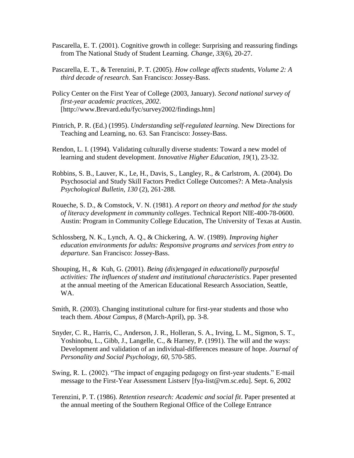- Pascarella, E. T. (2001). Cognitive growth in college: Surprising and reassuring findings from The National Study of Student Learning. *Change, 33*(6), 20-27.
- Pascarella, E. T., & Terenzini, P. T. (2005). *How college affects students, Volume 2: A third decade of research*. San Francisco: Jossey-Bass.
- Policy Center on the First Year of College (2003, January). *Second national survey of first-year academic practices, 2002*. [http://www.Brevard.edu/fyc/survey2002/findings.htm]
- Pintrich, P. R. (Ed.) (1995). *Understanding self-regulated learning*. New Directions for Teaching and Learning, no. 63. San Francisco: Jossey-Bass.
- Rendon, L. I. (1994). Validating culturally diverse students: Toward a new model of learning and student development. *Innovative Higher Education, 19*(1), 23-32.
- Robbins, S. B., Lauver, K., Le, H., Davis, S., Langley, R., & Carlstrom, A. (2004). Do Psychosocial and Study Skill Factors Predict College Outcomes?: A Meta-Analysis *Psychological Bulletin, 130* (2), 261-288.
- Roueche, S. D., & Comstock, V. N. (1981). *A report on theory and method for the study of literacy development in community colleges*. Technical Report NIE-400-78-0600. Austin: Program in Community College Education, The University of Texas at Austin.
- Schlossberg, N. K., Lynch, A. Q., & Chickering, A. W. (1989). *Improving higher education environments for adults: Responsive programs and services from entry to departure*. San Francisco: Jossey-Bass.
- Shouping, H., & Kuh, G. (2001). *Being (dis)engaged in educationally purposeful activities: The influences of student and institutional characteristics*. Paper presented at the annual meeting of the American Educational Research Association, Seattle, WA.
- Smith, R. (2003). Changing institutional culture for first-year students and those who teach them. *About Campus, 8* (March-April), pp. 3-8.
- Snyder, C. R., Harris, C., Anderson, J. R., Holleran, S. A., Irving, L. M., Sigmon, S. T., Yoshinobu, L., Gibb, J., Langelle, C., & Harney, P. (1991). The will and the ways: Development and validation of an individual-differences measure of hope. *Journal of Personality and Social Psychology, 60*, 570-585.
- Swing, R. L. (2002). "The impact of engaging pedagogy on first-year students." E-mail message to the First-Year Assessment Listserv [fya-list@vm.sc.edu]. Sept. 6, 2002
- Terenzini, P. T. (1986). *Retention research: Academic and social fit*. Paper presented at the annual meeting of the Southern Regional Office of the College Entrance